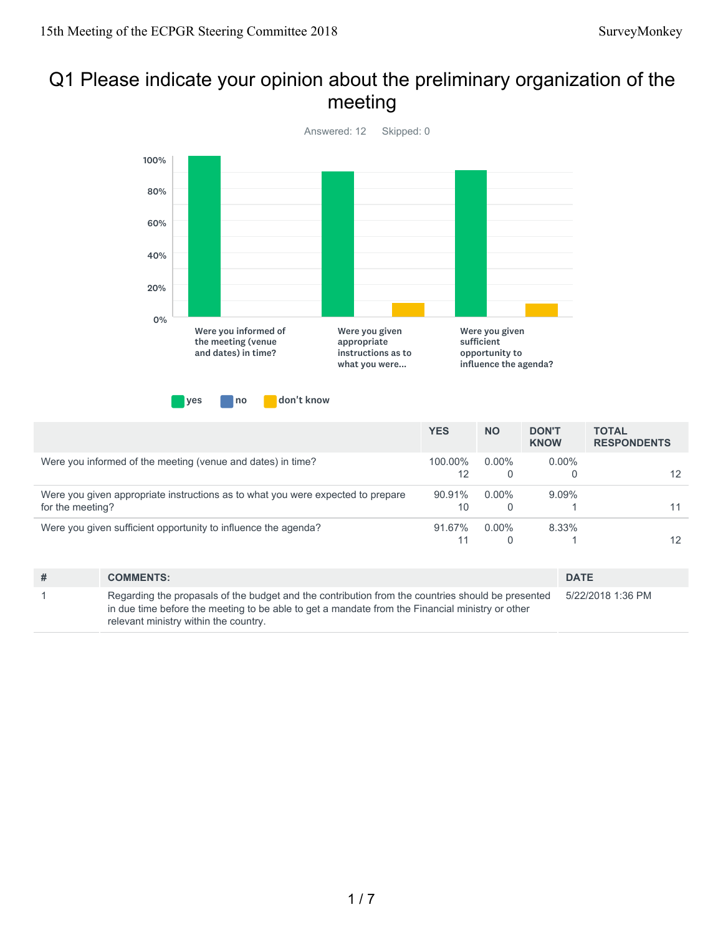#### Q1 Please indicate your opinion about the preliminary organization of the meeting



|                                                                                                     | <b>YES</b>    | <b>NO</b>            | <b>DON'T</b><br><b>KNOW</b> | <b>TOTAL</b><br><b>RESPONDENTS</b> |
|-----------------------------------------------------------------------------------------------------|---------------|----------------------|-----------------------------|------------------------------------|
| Were you informed of the meeting (venue and dates) in time?                                         | 100.00%<br>12 | $0.00\%$<br>0        | $0.00\%$                    | 12                                 |
| Were you given appropriate instructions as to what you were expected to prepare<br>for the meeting? | 90.91%<br>10  | $0.00\%$<br>$\Omega$ | $9.09\%$                    |                                    |
| Were you given sufficient opportunity to influence the agenda?                                      | 91.67%        | $0.00\%$             | 8.33%                       | 12                                 |

| # | <b>COMMENTS:</b>                                                                                                                                                                                                                              | <b>DATE</b>       |
|---|-----------------------------------------------------------------------------------------------------------------------------------------------------------------------------------------------------------------------------------------------|-------------------|
|   | Regarding the propasals of the budget and the contribution from the countries should be presented<br>in due time before the meeting to be able to get a mandate from the Financial ministry or other<br>relevant ministry within the country. | 5/22/2018 1:36 PM |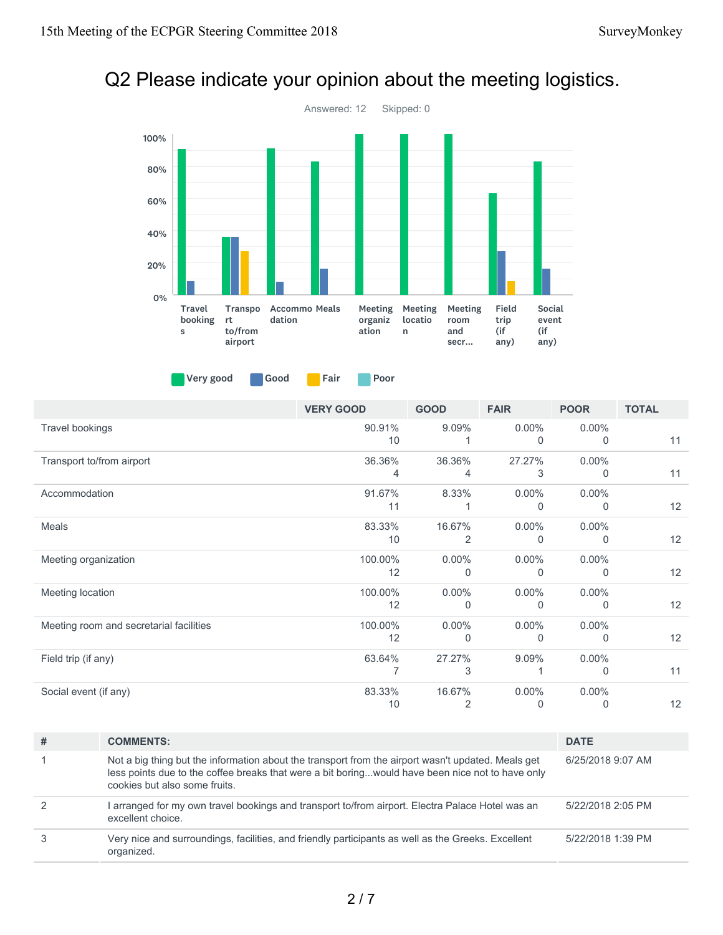# Q2 Please indicate your opinion about the meeting logistics.



Very good Good Fair Poor

|                                         | <b>VERY GOOD</b> | <b>GOOD</b>              | <b>FAIR</b>   | <b>POOR</b>          | <b>TOTAL</b> |
|-----------------------------------------|------------------|--------------------------|---------------|----------------------|--------------|
| Travel bookings                         | 90.91%<br>10     | 9.09%                    | $0.00\%$<br>0 | $0.00\%$<br>0        | 11           |
| Transport to/from airport               | 36.36%<br>4      | 36.36%<br>4              | 27.27%<br>3   | $0.00\%$<br>$\Omega$ | 11           |
| Accommodation                           | 91.67%<br>11     | 8.33%                    | $0.00\%$<br>0 | $0.00\%$<br>$\Omega$ | 12           |
| Meals                                   | 83.33%<br>10     | 16.67%<br>$\overline{2}$ | $0.00\%$<br>0 | $0.00\%$<br>$\Omega$ | 12           |
| Meeting organization                    | 100.00%<br>12    | $0.00\%$<br>$\Omega$     | $0.00\%$<br>0 | $0.00\%$<br>$\Omega$ | 12           |
| Meeting location                        | 100.00%<br>12    | $0.00\%$<br>$\Omega$     | $0.00\%$<br>0 | $0.00\%$<br>$\Omega$ | 12           |
| Meeting room and secretarial facilities | 100.00%<br>12    | $0.00\%$<br>$\Omega$     | $0.00\%$<br>0 | $0.00\%$<br>$\Omega$ | 12           |
| Field trip (if any)                     | 63.64%           | 27.27%<br>3              | 9.09%         | $0.00\%$<br>$\Omega$ | 11           |
| Social event (if any)                   | 83.33%<br>10     | 16.67%<br>$\overline{2}$ | $0.00\%$<br>0 | $0.00\%$<br>0        | 12           |

| # | <b>COMMENTS:</b>                                                                                                                                                                                                                        | <b>DATE</b>       |
|---|-----------------------------------------------------------------------------------------------------------------------------------------------------------------------------------------------------------------------------------------|-------------------|
|   | Not a big thing but the information about the transport from the airport wasn't updated. Meals get<br>less points due to the coffee breaks that were a bit boringwould have been nice not to have only<br>cookies but also some fruits. | 6/25/2018 9:07 AM |
| 2 | l arranged for my own travel bookings and transport to/from airport. Electra Palace Hotel was an<br>excellent choice.                                                                                                                   | 5/22/2018 2:05 PM |
| 3 | Very nice and surroundings, facilities, and friendly participants as well as the Greeks. Excellent<br>organized.                                                                                                                        | 5/22/2018 1:39 PM |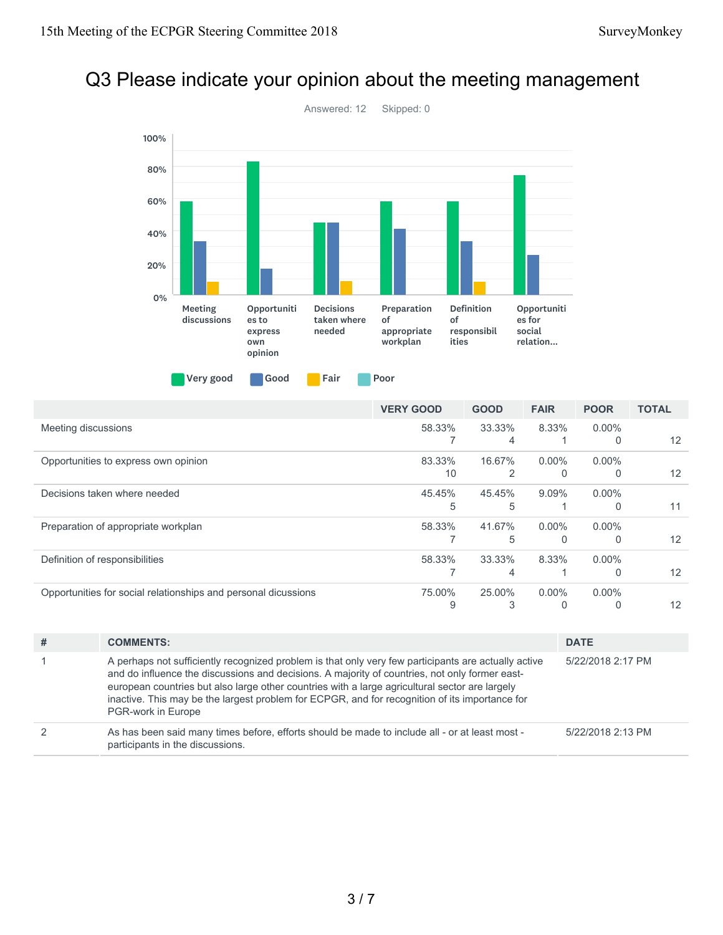# Q3 Please indicate your opinion about the meeting management



|                                                                | <b>VERY GOOD</b> | <b>GOOD</b> | <b>FAIR</b> | <b>POOR</b> | <b>TOTAL</b>      |
|----------------------------------------------------------------|------------------|-------------|-------------|-------------|-------------------|
| Meeting discussions                                            | 58.33%           | 33.33%      | 8.33%       | $0.00\%$    |                   |
|                                                                |                  | 4           |             | 0           | 12                |
| Opportunities to express own opinion                           | 83.33%           | 16.67%      | $0.00\%$    | $0.00\%$    |                   |
|                                                                | 10               | 2           |             | 0           | $12 \overline{ }$ |
| Decisions taken where needed                                   | 45.45%           | 45.45%      | $9.09\%$    | $0.00\%$    |                   |
|                                                                | 5                | 5           |             | 0           | 11                |
| Preparation of appropriate workplan                            | 58.33%           | 41.67%      | $0.00\%$    | $0.00\%$    |                   |
|                                                                |                  | 5           |             | 0           | $12 \overline{ }$ |
| Definition of responsibilities                                 | 58.33%           | 33.33%      | 8.33%       | $0.00\%$    |                   |
|                                                                |                  | 4           |             | 0           | $12 \overline{ }$ |
| Opportunities for social relationships and personal dicussions | 75.00%           | 25.00%      | $0.00\%$    | $0.00\%$    |                   |
|                                                                | 9                |             |             |             | 12                |

| # | <b>COMMENTS:</b>                                                                                                                                                                                                                                                                                                                                                                                                                 | <b>DATE</b>       |
|---|----------------------------------------------------------------------------------------------------------------------------------------------------------------------------------------------------------------------------------------------------------------------------------------------------------------------------------------------------------------------------------------------------------------------------------|-------------------|
|   | A perhaps not sufficiently recognized problem is that only very few participants are actually active<br>and do influence the discussions and decisions. A majority of countries, not only former east-<br>european countries but also large other countries with a large agricultural sector are largely<br>inactive. This may be the largest problem for ECPGR, and for recognition of its importance for<br>PGR-work in Europe | 5/22/2018 2:17 PM |
| 2 | As has been said many times before, efforts should be made to include all - or at least most -<br>participants in the discussions.                                                                                                                                                                                                                                                                                               | 5/22/2018 2:13 PM |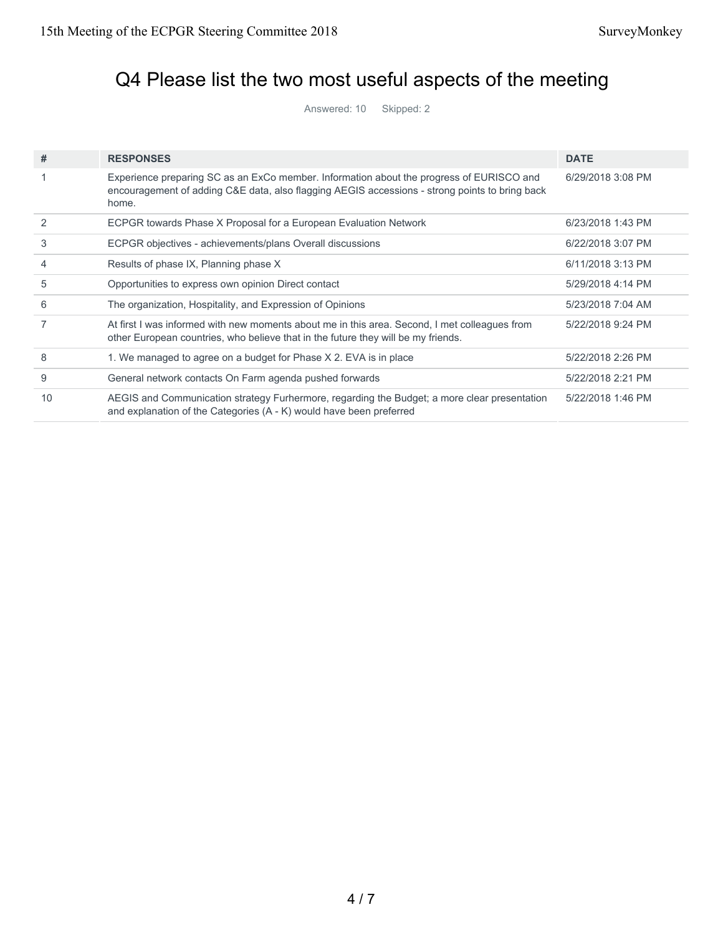## Q4 Please list the two most useful aspects of the meeting

Answered: 10 Skipped: 2

| #  | <b>RESPONSES</b>                                                                                                                                                                                    | <b>DATE</b>       |
|----|-----------------------------------------------------------------------------------------------------------------------------------------------------------------------------------------------------|-------------------|
|    | Experience preparing SC as an ExCo member. Information about the progress of EURISCO and<br>encouragement of adding C&E data, also flagging AEGIS accessions - strong points to bring back<br>home. | 6/29/2018 3:08 PM |
| 2  | ECPGR towards Phase X Proposal for a European Evaluation Network                                                                                                                                    | 6/23/2018 1:43 PM |
| 3  | ECPGR objectives - achievements/plans Overall discussions                                                                                                                                           | 6/22/2018 3:07 PM |
| 4  | Results of phase IX, Planning phase X                                                                                                                                                               | 6/11/2018 3:13 PM |
| 5  | Opportunities to express own opinion Direct contact                                                                                                                                                 | 5/29/2018 4:14 PM |
| 6  | The organization, Hospitality, and Expression of Opinions                                                                                                                                           | 5/23/2018 7:04 AM |
|    | At first I was informed with new moments about me in this area. Second, I met colleagues from<br>other European countries, who believe that in the future they will be my friends.                  | 5/22/2018 9:24 PM |
| 8  | 1. We managed to agree on a budget for Phase X 2. EVA is in place                                                                                                                                   | 5/22/2018 2:26 PM |
| 9  | General network contacts On Farm agenda pushed forwards                                                                                                                                             | 5/22/2018 2:21 PM |
| 10 | AEGIS and Communication strategy Furhermore, regarding the Budget; a more clear presentation<br>and explanation of the Categories (A - K) would have been preferred                                 | 5/22/2018 1:46 PM |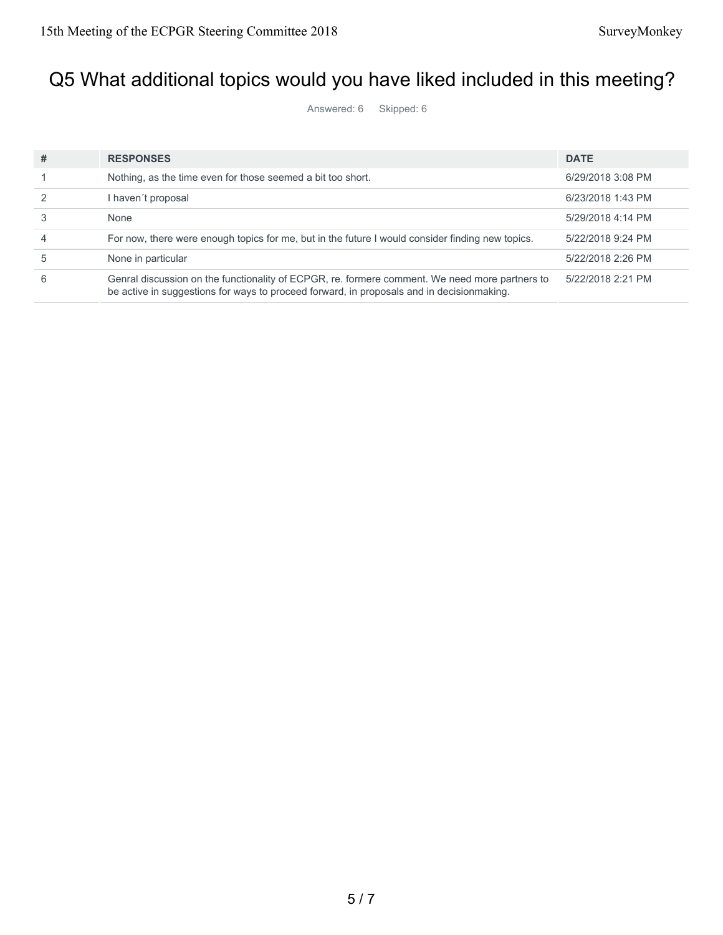## Q5 What additional topics would you have liked included in this meeting?

Answered: 6 Skipped: 6

| #              | <b>RESPONSES</b>                                                                                                                                                                            | <b>DATE</b>       |
|----------------|---------------------------------------------------------------------------------------------------------------------------------------------------------------------------------------------|-------------------|
|                | Nothing, as the time even for those seemed a bit too short.                                                                                                                                 | 6/29/2018 3:08 PM |
|                | l haven't proposal                                                                                                                                                                          | 6/23/2018 1:43 PM |
|                | None                                                                                                                                                                                        | 5/29/2018 4:14 PM |
| $\overline{4}$ | For now, there were enough topics for me, but in the future I would consider finding new topics.                                                                                            | 5/22/2018 9:24 PM |
| 5              | None in particular                                                                                                                                                                          | 5/22/2018 2:26 PM |
| 6              | Genral discussion on the functionality of ECPGR, re. formere comment. We need more partners to<br>be active in suggestions for ways to proceed forward, in proposals and in decisionmaking. | 5/22/2018 2:21 PM |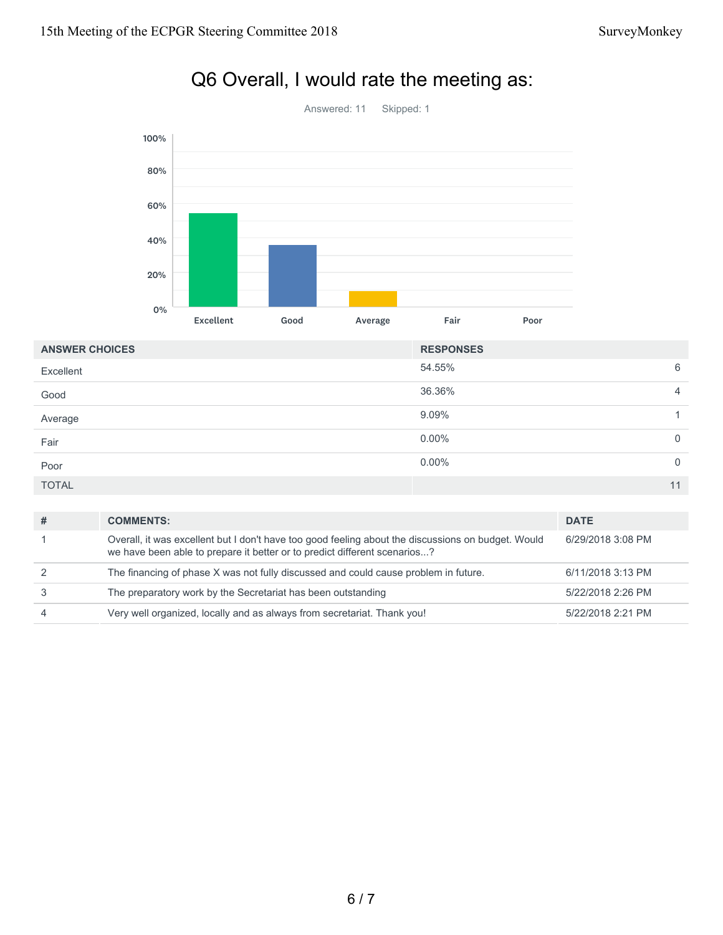

## Q6 Overall, I would rate the meeting as:

| <b>ANSWER CHOICES</b> | <b>RESPONSES</b> |                |
|-----------------------|------------------|----------------|
| Excellent             | 54.55%           | 6              |
| Good                  | 36.36%           | $\overline{4}$ |
| Average               | 9.09%            |                |
| Fair                  | $0.00\%$         | $\overline{0}$ |
| Poor                  | $0.00\%$         | $\overline{0}$ |
| <b>TOTAL</b>          |                  | 11             |

| # | <b>COMMENTS:</b>                                                                                                                                                                | <b>DATE</b>       |
|---|---------------------------------------------------------------------------------------------------------------------------------------------------------------------------------|-------------------|
|   | Overall, it was excellent but I don't have too good feeling about the discussions on budget. Would<br>we have been able to prepare it better or to predict different scenarios? | 6/29/2018 3:08 PM |
|   | The financing of phase X was not fully discussed and could cause problem in future.                                                                                             | 6/11/2018 3:13 PM |
|   | The preparatory work by the Secretariat has been outstanding                                                                                                                    | 5/22/2018 2:26 PM |
|   | Very well organized, locally and as always from secretariat. Thank you!                                                                                                         | 5/22/2018 2:21 PM |